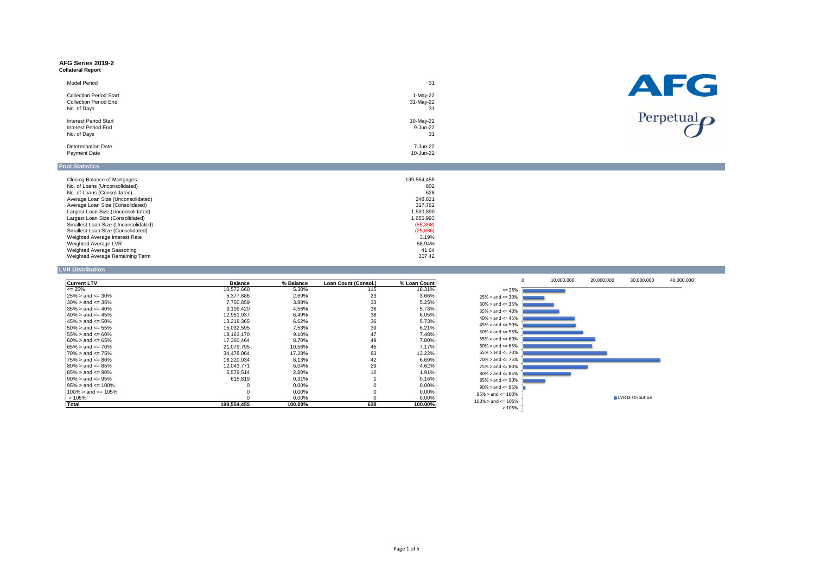# **AFG Series 2019-2 Collateral Report**

| <b>Model Period</b>                                            | 31                    | AFG                        |
|----------------------------------------------------------------|-----------------------|----------------------------|
| <b>Collection Period Start</b><br><b>Collection Period End</b> | 1-May-22<br>31-May-22 |                            |
| No. of Days                                                    | 31                    | Perpetual $\boldsymbol{O}$ |
| <b>Interest Period Start</b><br>Interest Period End            | 10-May-22<br>9-Jun-22 |                            |
| No. of Days                                                    | 31                    |                            |
| <b>Determination Date</b><br>Payment Date                      | 7-Jun-22<br>10-Jun-22 |                            |
| <b>Pool Statistics</b>                                         |                       |                            |

| Closing Balance of Mortgages        | 199.554.455 |
|-------------------------------------|-------------|
| No. of Loans (Unconsolidated)       | 802         |
| No. of Loans (Consolidated)         | 628         |
| Average Loan Size (Unconsolidated)  | 248.821     |
| Average Loan Size (Consolidated)    | 317.762     |
| Largest Loan Size (Unconsolidated)  | 1.530.890   |
| Largest Loan Size (Consolidated)    | 1.655.993   |
| Smallest Loan Size (Unconsolidated) | (55, 368)   |
| Smallest Loan Size (Consolidated)   | (25,686)    |
| Weighted Average Interest Rate      | 3.19%       |
| Weighted Average LVR                | 58.94%      |
| Weighted Average Seasoning          | 41.64       |
| Weighted Average Remaining Term     | 307.42      |

## **LVR Distribution**

| <b>Current LTV</b>        | <b>Balance</b> | % Balance | Loan Count (Consol.) | % Loan Count |
|---------------------------|----------------|-----------|----------------------|--------------|
| $\epsilon = 25\%$         | 10,572,660     | 5.30%     | 115                  | 18.31%       |
| $25\% >$ and $\leq 30\%$  | 5,377,886      | 2.69%     | 23                   | 3.66%        |
| $30\%$ > and <= 35%       | 7.750.859      | 3.88%     | 33                   | 5.25%        |
| $35\% >$ and $\leq 40\%$  | 9.109.420      | 4.56%     | 36                   | 5.73%        |
| $40\%$ > and <= 45%       | 12,951,037     | 6.49%     | 38                   | 6.05%        |
| $45\% >$ and $\leq 50\%$  | 13.219.365     | 6.62%     | 36                   | 5.73%        |
| $50\% >$ and $\leq 55\%$  | 15,032,595     | 7.53%     | 39                   | 6.21%        |
| $55\% >$ and $\leq 60\%$  | 18.163.170     | 9.10%     | 47                   | 7.48%        |
| $60\% >$ and $\leq 65\%$  | 17.360.464     | 8.70%     | 49                   | 7.80%        |
| $65\% >$ and $\leq 70\%$  | 21,079,795     | 10.56%    | 45                   | 7.17%        |
| $70\%$ > and <= 75%       | 34.478.064     | 17.28%    | 83                   | 13.22%       |
| $75\% >$ and $\leq 80\%$  | 16,220,034     | 8.13%     | 42                   | 6.69%        |
| $80\%$ > and <= 85%       | 12,043,771     | 6.04%     | 29                   | 4.62%        |
| $85\% >$ and $\leq 90\%$  | 5.579.514      | 2.80%     | 12                   | 1.91%        |
| $90\% >$ and $\leq 95\%$  | 615.819        | 0.31%     |                      | 0.16%        |
| $95\% >$ and $\leq 100\%$ | 0              | 0.00%     | $\Omega$             | 0.00%        |
| $100\%$ > and <= 105%     | 0              | $0.00\%$  | 0                    | 0.00%        |
| >105%                     |                | 0.00%     | $\Omega$             | 0.00%        |
| Total                     | 199.554.455    | 100.00%   | 628                  | 100.00%      |

|                          | $\mathbf 0$ | 10,000,000 | 20,000,000 | 30,000,000              | 40,000,000 |
|--------------------------|-------------|------------|------------|-------------------------|------------|
| $<= 25%$                 |             |            |            |                         |            |
| $25\%$ > and <= 30%      |             |            |            |                         |            |
| $30\%$ > and <= 35%      |             |            |            |                         |            |
| $35\%$ > and <= 40%      |             |            |            |                         |            |
| $40\%$ > and <= 45%      |             |            |            |                         |            |
| $45\%$ > and <= 50%      |             |            |            |                         |            |
| $50\%$ > and <= $55\%$   |             |            |            |                         |            |
| $55\%$ > and <= 60%      |             |            |            |                         |            |
| $60\%$ > and <= 65%      |             |            |            |                         |            |
| $65\%$ > and <= 70%      |             |            |            |                         |            |
| $70\%$ > and <= 75%      |             |            |            |                         |            |
| $75\%$ > and <= 80%      |             |            |            |                         |            |
| $80\%$ > and <= $85\%$   |             |            |            |                         |            |
| $85\%$ > and <= $90\%$   |             |            |            |                         |            |
| $90\%$ > and <= $95\%$   |             |            |            |                         |            |
| $95\%$ > and <= 100%     |             |            |            | <b>LVR</b> Distribution |            |
| $100\%$ > and <= $105\%$ |             |            |            |                         |            |
| >105%                    |             |            |            |                         |            |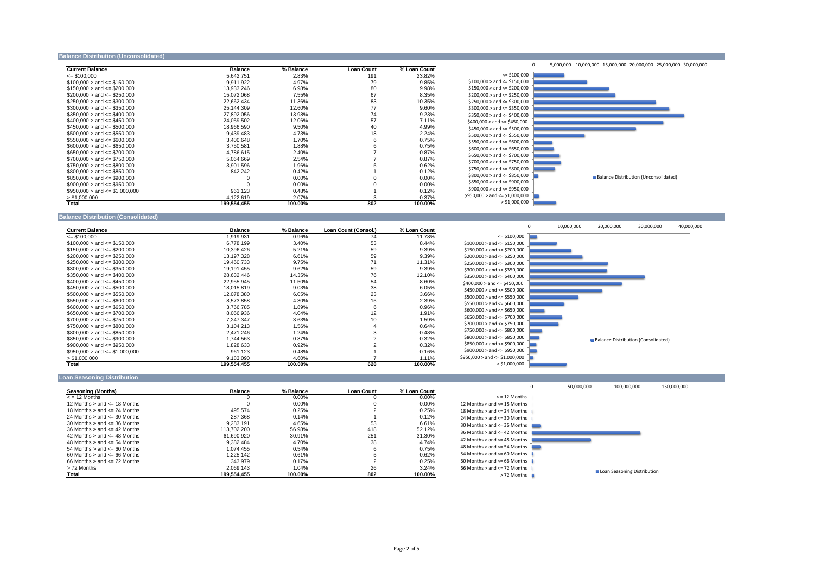### Balance Distribution (Unconsolidated)

| <b>Current Balance</b>              | <b>Balance</b> | % Balance | <b>Loan Count</b> | % Loan Count |
|-------------------------------------|----------------|-----------|-------------------|--------------|
| $\leq$ \$100.000                    | 5,642,751      | 2.83%     | 191               | 23.82%       |
| $$100,000 >$ and $\leq$ \$150,000   | 9,911,922      | 4.97%     | 79                | 9.85%        |
| $$150,000 >$ and $\leq$ \$200,000   | 13,933,246     | 6.98%     | 80                | 9.98%        |
| $$200.000 >$ and $\leq$ \$250.000   | 15.072.068     | 7.55%     | 67                | 8.35%        |
| $$250,000 >$ and $\leq$ \$300,000   | 22,662,434     | 11.36%    | 83                | 10.35%       |
| $$300.000 >$ and $\leq$ \$350.000   | 25,144,309     | 12.60%    | 77                | 9.60%        |
| $$350,000 >$ and $\leq$ \$400,000   | 27.892.056     | 13.98%    | 74                | 9.23%        |
| $$400,000 >$ and $\leq$ \$450,000   | 24,059,502     | 12.06%    | 57                | 7.11%        |
| $$450,000 >$ and $\leq$ \$500,000   | 18.966.590     | 9.50%     | 40                | 4.99%        |
| $$500,000 >$ and $\leq$ \$550,000   | 9,439,483      | 4.73%     | 18                | 2.24%        |
| $$550.000 >$ and $\leq$ \$600.000   | 3,400,648      | 1.70%     | 6                 | 0.75%        |
| $$600.000 >$ and $\leq$ \$650.000   | 3,750,581      | 1.88%     | 6                 | 0.75%        |
| $$650.000 >$ and $\leq$ \$700.000   | 4,786,615      | 2.40%     |                   | 0.87%        |
| $$700,000 >$ and <= \$750,000       | 5.064.669      | 2.54%     |                   | 0.87%        |
| $$750,000 >$ and $\leq 200,000$     | 3,901,596      | 1.96%     | 5                 | 0.62%        |
| $$800,000 >$ and $\leq$ \$850,000   | 842,242        | 0.42%     |                   | 0.12%        |
| $$850,000 >$ and $\leq$ \$900,000   |                | 0.00%     |                   | 0.00%        |
| $$900,000 >$ and $\leq$ \$950,000   |                | 0.00%     |                   | 0.00%        |
| $$950.000 >$ and $\leq$ \$1,000,000 | 961.123        | 0.48%     |                   | 0.12%        |
| > \$1,000,000                       | 4,122,619      | 2.07%     | 3                 | 0.37%        |
| Total                               | 199,554,455    | 100.00%   | 802               | 100.00%      |



## **Balance Distribution (Consolidated)**

| <b>Current Balance</b>            | <b>Balance</b> | % Balance | Loan Count (Consol.) | % Loan Count |
|-----------------------------------|----------------|-----------|----------------------|--------------|
| $= $100,000$                      | 1,919,931      | 0.96%     | 74                   | 11.78%       |
| $$100.000 >$ and $\leq$ \$150.000 | 6,778,199      | 3.40%     | 53                   | 8.44%        |
| $$150,000 >$ and $\leq$ \$200,000 | 10,396,426     | 5.21%     | 59                   | 9.39%        |
| $$200.000 >$ and $\leq$ \$250.000 | 13,197,328     | 6.61%     | 59                   | 9.39%        |
| $$250,000 >$ and $\leq$ \$300,000 | 19,450,733     | 9.75%     | 71                   | 11.31%       |
| $$300,000 >$ and $\leq$ \$350,000 | 19,191,455     | 9.62%     | 59                   | 9.39%        |
| $$350.000 >$ and $\leq$ \$400.000 | 28,632,446     | 14.35%    | 76                   | 12.10%       |
| $$400.000 >$ and $\leq$ \$450.000 | 22,955,945     | 11.50%    | 54                   | 8.60%        |
| $$450,000 >$ and $\leq$ \$500,000 | 18,015,819     | 9.03%     | 38                   | 6.05%        |
| $$500.000 >$ and $\leq$ \$550.000 | 12,078,380     | 6.05%     | 23                   | 3.66%        |
| $$550,000 >$ and $\leq$ \$600,000 | 8,573,858      | 4.30%     | 15                   | 2.39%        |
| $$600,000 >$ and $\leq$ \$650,000 | 3,766,785      | 1.89%     | 6                    | 0.96%        |
| $$650.000 >$ and $\leq$ \$700.000 | 8,056,936      | 4.04%     | 12                   | 1.91%        |
| $$700,000 >$ and $\leq$ \$750,000 | 7,247,347      | 3.63%     | 10                   | 1.59%        |
| $$750,000 >$ and $\leq$ \$800,000 | 3,104,213      | 1.56%     | 4                    | 0.64%        |
| $$800.000 >$ and $\leq$ \$850.000 | 2.471.246      | 1.24%     | 3                    | 0.48%        |
| $$850,000 >$ and $\leq$ \$900,000 | 1,744,563      | 0.87%     |                      | 0.32%        |
| $$900,000 >$ and $\leq$ \$950,000 | 1,828,633      | 0.92%     |                      | 0.32%        |
| $$950,000 >$ and $\leq 1,000,000$ | 961.123        | 0.48%     |                      | 0.16%        |
| > \$1,000,000                     | 9,183,090      | 4.60%     |                      | 1.11%        |
| <b>Total</b>                      | 199,554,455    | 100.00%   | 628                  | 100.00%      |



#### **Loan Seasoning Distribution**

| Seasoning (Months)                   | <b>Balance</b> | % Balance | <b>Loan Count</b> | % Loan Count |
|--------------------------------------|----------------|-----------|-------------------|--------------|
| $\epsilon$ = 12 Months               |                | $0.00\%$  | u                 | 0.00%        |
| 12 Months $>$ and $\leq$ 18 Months   |                | $0.00\%$  |                   | 0.00%        |
| 18 Months $>$ and $\leq$ 24 Months   | 495.574        | 0.25%     |                   | 0.25%        |
| 124 Months $>$ and $\leq$ 30 Months  | 287.368        | 0.14%     |                   | 0.12%        |
| 30 Months $>$ and $\leq$ 36 Months   | 9.283.191      | 4.65%     | 53                | 6.61%        |
| 36 Months $>$ and $\leq$ 42 Months   | 113,702,200    | 56.98%    | 418               | 52.12%       |
| 42 Months $>$ and $\leq$ 48 Months   | 61.690.920     | 30.91%    | 251               | 31.30%       |
| 48 Months $>$ and $\leq$ 54 Months   | 9.382.484      | 4.70%     | 38                | 4.74%        |
| $54$ Months $>$ and $\leq 60$ Months | 1.074.455      | 0.54%     | 6                 | 0.75%        |
| $60$ Months $>$ and $\leq$ 66 Months | 1.225.142      | 0.61%     | 5                 | 0.62%        |
| 66 Months $>$ and $\leq$ 72 Months   | 343.979        | 0.17%     |                   | 0.25%        |
| > 72 Months                          | 2.069.143      | 1.04%     | 26                | 3.24%        |
| Total                                | 199.554.455    | 100.00%   | 802               | 100.00%      |

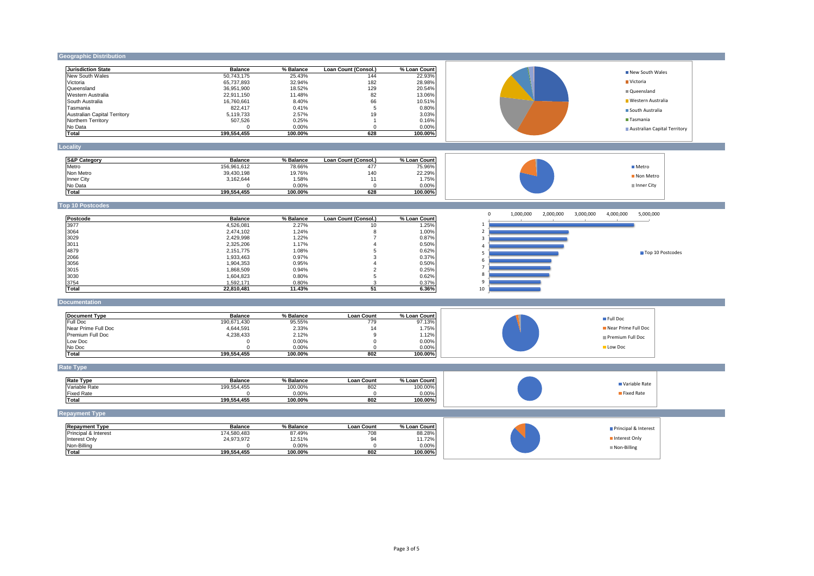#### **Geographic Distribution Jurisdiction State Balance % Balance Loan Count (Consol.) % Loan Count** NSWNew South Wales 50,743,175 25.43% 144 22.93% VICVictoria 65,737,893 32.94% 182 28.98% QLDQueensland 36,951,900 18.52% 129 20.54% Western Australia 22,911,150 13.06% 82 13.06% 82 13.06% 82 SA South Australia 16,760,661 8.40% 66 10.51% TASTasmania 822,417 0.41% 5 0.80% ACTAustralian Capital Territory 5,119,733 2.57% 19 3.03% NT Northern Territory 507,526 0.25% 1 0.16% No Data 0 0.00% 0 0.00% **Total 199,554,455 100.00% 628 100.00% Locality S&P Category Balance % Balance Loan Count (Consol.) % Loan Count** Metro 156,961,612 78.66% 477 75.96% Non Metro 39,430,198 19.76% 140 22.29% Inner City 3,162,644 1.58% 11 1.75%  $\sim$  No Data  $\sim$  0.00% 0 0.00% 0 0.00% 0.00% 0.00% 0.00% 0.00% 0.00% 0.00% 0.00% 0.00% 0.00% 0.00% 0.00% 0.00% 0.00% 0.00% 0.00% 0.00% 0.00% 0.00% 0.00% 0.00% 0.00% 0.00% 0.00% 0.00% 0.00% 0.00% 0.00% 0.00% 0.00% 0.00% 0 **Total 199,554,455 100.00% 628 100.00% Top 10 Postcodes Postcode Balance % Balance Loan Count (Consol.) % Loan Count** 1 3977 4,526,081 2.27% 10 1.25% 2 3064 2,474,102 1.24% 8 1.00% 3 3029 2,429,998 1.22% 7 0.87% 4 3011 2,325,206 1.17% 4 0.50% as a set of the contract of the contract of the contract of the contract of the contract of the contract of the contract of the contract of the contract of the contract of the contract of the contract of the contract of th 6 2066 1,933,463 0.97% 3 0.37% 7 3056 1,904,353 0.95% 4 0.50% 8 3015 1,868,509 0.94% 2 0.25% 9 3030 1,604,823 0.80% 5 0.62%  $1,592,171$  0.80% 3 0.37% 3 0.37% **Total 22,810,481 11.43% 51 6.36% Documentation Document Type Balance % Balance Loan Count % Loan Count** Premium Full Doc FULLFull Doc 190,671,430 95.55% 779 97.13% LOWNear Prime Full Doc 4,644,591 2.33% 14 1.75% LOWPremium Full Doc 4,238,433 2.12% 9 1.12%  $\sim$  No.00% 0 0.00% 0 0.00% 0 0.00% 0 0.00% 0 0.00% 0 0.00% 0 0.00% 0 0.00% 0 0.00% 0 0.00% 0 0.00% 0 0.00% 0 0.00% 0 0.00% 0 0.00% 0 0.00% 0 0.00% 0 0.00% 0 0.00% 0 0.00% 0 0.00% 0 0.00% 0 0.00% 0 0.00% 0 0.00% 0 0.00% 0 NONo Doc 0 0.00% 0 0.00% **Total 199,554,455 100.00% 802 100.00% Rate Type Rate Type Balance % Balance Loan Count % Loan Count** Variable Variable Rate 199,554,455 100.00% 802 100.00% Fixed Rate **0** 0.00% 0 0.00% 0 0.00% 0 0.000% 0 0.00% 0 0.00% 0 0.00% 0 0.00% 0 0.00% 0 0.00% 0 0.00% 0 0.00% 0 0.00% 0 0.00% 0 0.00% 0 0.00% 0 0.00% 0 0.00% 0 0.00% 0 0.00% 0 0.00% 0 0.00% 0 0.00% 0 0.00% 0 0.00% 0 0.00% **Total 199,554,455 100.00% 802 100.00% Repayment Type Repayment Type Balance Balance 1798 Balance Loan Count 174,580,483 Balance Loan Count 174,580,483 B 88.28% 88.28% 88.28%** Principal & Interest **88.28%**<br>  $24,973,972$  17.51% 94 11.72% 94 11.72% Interest Only 11.72% 10. 24,973,972 12.51% 12.51% 94 11.72% Non-Billing 0 0.00% 0 0.00% **Total 199,554,455 100.00% 802 100.00%** 0 1,000,000 2,000,000 3,000,000 4,000,000 5,000,000 1 2  $\overline{3}$ 4 5 6 7 8 9 10 Top 10 Postcodes New South Wales Victoria Queensland Western Australia South Australia ■ Tasmania Australian Capital Territory Metro Non Metro Inner City Full Doc Near Prime Full Doc Premium Full Doc **Low Doc** Variable Rate **Fixed Rate Principal & Interest** Interest Only Non-Billing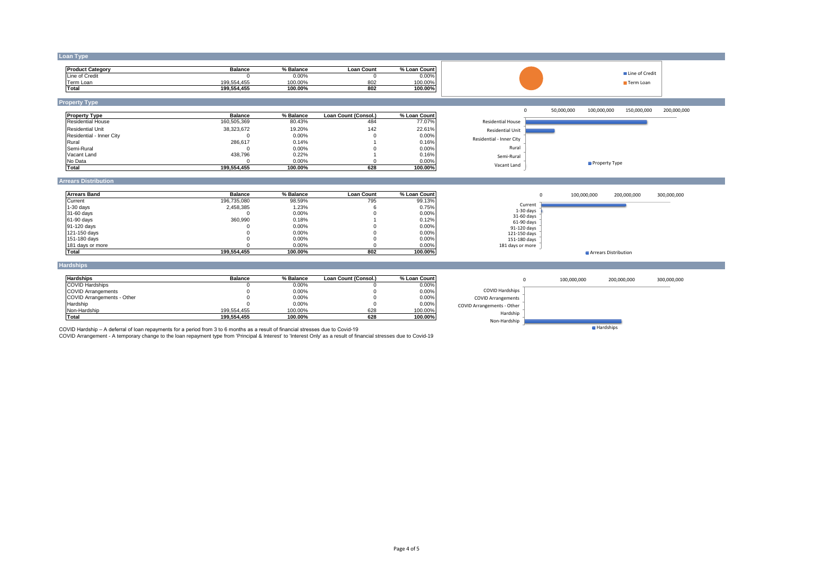| <b>Product Category</b>                                                                                                                                                                                                                                                                                                 | <b>Balance</b>             | % Balance          | <b>Loan Count</b>    | % Loan Count       |                             |             | Line of Credit             |             |
|-------------------------------------------------------------------------------------------------------------------------------------------------------------------------------------------------------------------------------------------------------------------------------------------------------------------------|----------------------------|--------------------|----------------------|--------------------|-----------------------------|-------------|----------------------------|-------------|
| Line of Credit                                                                                                                                                                                                                                                                                                          | $\Omega$                   | 0.00%              | $\mathbf{0}$         | 0.00%              |                             |             |                            |             |
| Term Loan<br>Total                                                                                                                                                                                                                                                                                                      | 199,554,455<br>199.554.455 | 100.00%<br>100.00% | 802<br>802           | 100.00%<br>100.00% |                             |             | Term Loan                  |             |
|                                                                                                                                                                                                                                                                                                                         |                            |                    |                      |                    |                             |             |                            |             |
| <b>Property Type</b>                                                                                                                                                                                                                                                                                                    |                            |                    |                      |                    |                             |             |                            |             |
| <b>Property Type</b>                                                                                                                                                                                                                                                                                                    | <b>Balance</b>             | % Balance          | Loan Count (Consol.) | % Loan Count       | $\mathbf 0$                 | 50,000,000  | 100,000,000<br>150,000,000 | 200,000,000 |
| <b>Residential House</b>                                                                                                                                                                                                                                                                                                | 160,505,369                | 80.43%             | 484                  | 77.07%             | <b>Residential House</b>    |             |                            |             |
| <b>Residential Unit</b>                                                                                                                                                                                                                                                                                                 | 38,323,672                 | 19.20%             | 142                  | 22.61%             | <b>Residential Unit</b>     |             |                            |             |
| Residential - Inner City                                                                                                                                                                                                                                                                                                | $\Omega$                   | 0.00%              |                      | 0.00%              | Residential - Inner City    |             |                            |             |
| Rural                                                                                                                                                                                                                                                                                                                   | 286,617                    | 0.14%              |                      | 0.16%              |                             |             |                            |             |
| Semi-Rural                                                                                                                                                                                                                                                                                                              | $\Omega$                   | 0.00%              |                      | 0.00%              | Rural                       |             |                            |             |
| Vacant Land                                                                                                                                                                                                                                                                                                             | 438,796                    | 0.22%              |                      | 0.16%              | Semi-Rural                  |             |                            |             |
| No Data                                                                                                                                                                                                                                                                                                                 | $\Omega$                   | 0.00%<br>100.00%   | $\Omega$<br>628      | 0.00%              | Vacant Land                 |             | Property Type              |             |
| Total                                                                                                                                                                                                                                                                                                                   | 199,554,455                |                    |                      | 100.00%            |                             |             |                            |             |
| <b>Arrears Distribution</b>                                                                                                                                                                                                                                                                                             |                            |                    |                      |                    |                             |             |                            |             |
|                                                                                                                                                                                                                                                                                                                         |                            |                    |                      |                    |                             |             |                            |             |
|                                                                                                                                                                                                                                                                                                                         |                            |                    |                      |                    |                             |             |                            |             |
|                                                                                                                                                                                                                                                                                                                         | <b>Balance</b>             | % Balance          | <b>Loan Count</b>    | % Loan Count       | $\circ$                     | 100,000,000 | 200,000,000                | 300,000,000 |
|                                                                                                                                                                                                                                                                                                                         | 196,735,080<br>2,458,385   | 98.59%<br>1.23%    | 795                  | 99.13%<br>0.75%    | Current                     |             |                            |             |
|                                                                                                                                                                                                                                                                                                                         | $\Omega$                   | 0.00%              |                      | 0.00%              | $1-30$ days                 |             |                            |             |
|                                                                                                                                                                                                                                                                                                                         | 360,990                    | 0.18%              |                      | 0.12%              | 31-60 days                  |             |                            |             |
|                                                                                                                                                                                                                                                                                                                         |                            | 0.00%              |                      | 0.00%              | 61-90 days                  |             |                            |             |
|                                                                                                                                                                                                                                                                                                                         | $\Omega$                   | 0.00%              |                      | 0.00%              | 91-120 days<br>121-150 days |             |                            |             |
|                                                                                                                                                                                                                                                                                                                         | $\Omega$                   | 0.00%              | $\Omega$             | 0.00%              | 151-180 days                |             |                            |             |
|                                                                                                                                                                                                                                                                                                                         | $\Omega$                   | 0.00%              | $\Omega$             | 0.00%              | 181 days or more            |             |                            |             |
|                                                                                                                                                                                                                                                                                                                         | 199,554,455                | 100.00%            | 802                  | 100.00%            |                             |             | Arrears Distribution       |             |
|                                                                                                                                                                                                                                                                                                                         |                            |                    |                      |                    |                             |             |                            |             |
|                                                                                                                                                                                                                                                                                                                         | <b>Balance</b>             | % Balance          | Loan Count (Consol.) | % Loan Count       | $^{\circ}$                  | 100,000,000 | 200,000,000                | 300,000,000 |
|                                                                                                                                                                                                                                                                                                                         | $\Omega$                   | 0.00%              | $\Omega$             | 0.00%              |                             |             |                            |             |
|                                                                                                                                                                                                                                                                                                                         |                            | 0.00%              |                      | 0.00%              | <b>COVID Hardships</b>      |             |                            |             |
|                                                                                                                                                                                                                                                                                                                         | $\Omega$                   | 0.00%              | $\Omega$             | 0.00%              | <b>COVID Arrangements</b>   |             |                            |             |
|                                                                                                                                                                                                                                                                                                                         | $\Omega$                   | 0.00%              | $\Omega$             | 0.00%              | COVID Arrangements - Other  |             |                            |             |
| <b>Arrears Band</b><br>Current<br>$1-30$ days<br>31-60 days<br>61-90 days<br>91-120 days<br>121-150 days<br>151-180 days<br>181 days or more<br>Total<br><b>Hardships</b><br><b>Hardships</b><br><b>COVID Hardships</b><br><b>COVID Arrangements</b><br>COVID Arrangements - Other<br>Hardship<br>Non-Hardship<br>Total | 199,554,455<br>199.554.455 | 100.00%<br>100.00% | 628<br>628           | 100.00%<br>100.00% | Hardship                    |             |                            |             |

COVID Hardship – A deferral of loan repayments for a period from 3 to 6 months as a result of financial stresses due to Covid-19<br>COVID Arrangement - A temporary change to the loan repayment type from 'Principal & Interest'